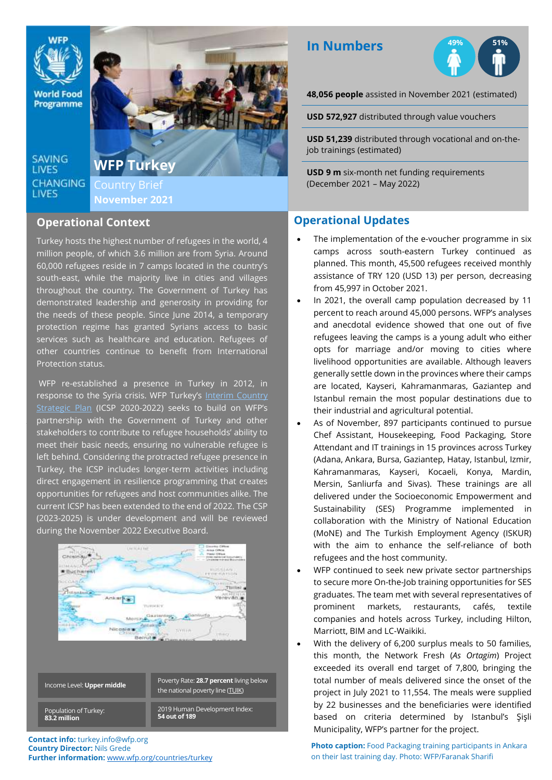

**World Food** Programme

**SAVING LIVES CHANGING** LIVES

;

**WFP Turkey** Country Brief **November 2021**

#### **Operational Context**

Turkey hosts the highest number of refugees in the world, 4 million people, of which 3.6 million are from Syria. Around 60,000 refugees reside in 7 camps located in the country's south-east, while the majority live in cities and villages throughout the country. The Government of Turkey has demonstrated leadership and generosity in providing for the needs of these people. Since June 2014, a temporary protection regime has granted Syrians access to basic services such as healthcare and education. Refugees of other countries continue to benefit from International Protection status.

WFP re-established a presence in Turkey in 2012, in response to the Syria crisis. WFP Turkey's Interim Country [Strategic Plan](https://docs.wfp.org/api/documents/WFP-0000108573/download/) (ICSP 2020-2022) seeks to build on WFP's partnership with the Government of Turkey and other stakeholders to contribute to refugee households' ability to meet their basic needs, ensuring no vulnerable refugee is left behind. Considering the protracted refugee presence in Turkey, the ICSP includes longer-term activities including direct engagement in resilience programming that creates opportunities for refugees and host communities alike. The current ICSP has been extended to the end of 2022. The CSP (2023-2025) is under development and will be reviewed during the November 2022 Executive Board.



**Contact info:** turkey.info@wfp.org **Country Director:** Nils Grede **Further information:** [www.wfp.org/countries/turkey](http://www.wfp.org/countries/turkey)

# **In Numbers**



**48,056 people** assisted in November 2021 (estimated)

**USD 572,927** distributed through value vouchers

**USD 51,239** distributed through vocational and on-thejob trainings (estimated)

**USD 9 m** six-month net funding requirements (December 2021 – May 2022)

## **Operational Updates**

- The implementation of the e-voucher programme in six camps across south-eastern Turkey continued as planned. This month, 45,500 refugees received monthly assistance of TRY 120 (USD 13) per person, decreasing from 45,997 in October 2021.
- In 2021, the overall camp population decreased by 11 percent to reach around 45,000 persons. WFP's analyses and anecdotal evidence showed that one out of five refugees leaving the camps is a young adult who either opts for marriage and/or moving to cities where livelihood opportunities are available. Although leavers generally settle down in the provinces where their camps are located, Kayseri, Kahramanmaras, Gaziantep and Istanbul remain the most popular destinations due to their industrial and agricultural potential.
- As of November, 897 participants continued to pursue Chef Assistant, Housekeeping, Food Packaging, Store Attendant and IT trainings in 15 provinces across Turkey (Adana, Ankara, Bursa, Gaziantep, Hatay, Istanbul, Izmir, Kahramanmaras, Kayseri, Kocaeli, Konya, Mardin, Mersin, Sanliurfa and Sivas). These trainings are all delivered under the Socioeconomic Empowerment and Sustainability (SES) Programme implemented in collaboration with the Ministry of National Education (MoNE) and The Turkish Employment Agency (ISKUR) with the aim to enhance the self-reliance of both refugees and the host community.
- WFP continued to seek new private sector partnerships to secure more On-the-Job training opportunities for SES graduates. The team met with several representatives of prominent markets, restaurants, cafés, textile companies and hotels across Turkey, including Hilton, Marriott, BIM and LC-Waikiki.
- With the delivery of 6,200 surplus meals to 50 families, this month, the Network Fresh (*As Ortagim*) Project exceeded its overall end target of 7,800, bringing the total number of meals delivered since the onset of the project in July 2021 to 11,554. The meals were supplied by 22 businesses and the beneficiaries were identified based on criteria determined by Istanbul's Şişli Municipality, WFP's partner for the project.

**Photo caption:** Food Packaging training participants in Ankara on their last training day. Photo: WFP/Faranak Sharifi